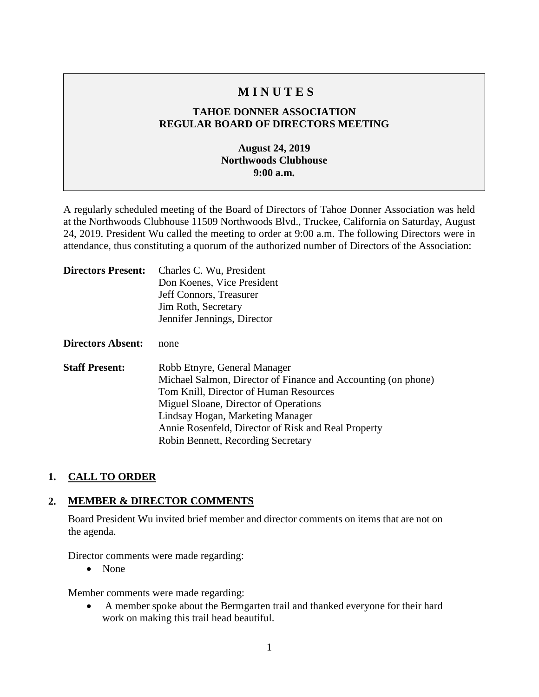## **M I N U T E S**

### **TAHOE DONNER ASSOCIATION REGULAR BOARD OF DIRECTORS MEETING**

### **August 24, 2019 Northwoods Clubhouse 9:00 a.m.**

A regularly scheduled meeting of the Board of Directors of Tahoe Donner Association was held at the Northwoods Clubhouse 11509 Northwoods Blvd., Truckee, California on Saturday, August 24, 2019. President Wu called the meeting to order at 9:00 a.m. The following Directors were in attendance, thus constituting a quorum of the authorized number of Directors of the Association:

| <b>Directors Present:</b> | Charles C. Wu, President<br>Don Koenes, Vice President<br>Jeff Connors, Treasurer<br>Jim Roth, Secretary<br>Jennifer Jennings, Director                                                                                                                                                                           |
|---------------------------|-------------------------------------------------------------------------------------------------------------------------------------------------------------------------------------------------------------------------------------------------------------------------------------------------------------------|
| <b>Directors Absent:</b>  | none                                                                                                                                                                                                                                                                                                              |
| <b>Staff Present:</b>     | Robb Etnyre, General Manager<br>Michael Salmon, Director of Finance and Accounting (on phone)<br>Tom Knill, Director of Human Resources<br>Miguel Sloane, Director of Operations<br>Lindsay Hogan, Marketing Manager<br>Annie Rosenfeld, Director of Risk and Real Property<br>Robin Bennett, Recording Secretary |

#### **1. CALL TO ORDER**

#### **2. MEMBER & DIRECTOR COMMENTS**

Board President Wu invited brief member and director comments on items that are not on the agenda.

Director comments were made regarding:

• None

Member comments were made regarding:

• A member spoke about the Bermgarten trail and thanked everyone for their hard work on making this trail head beautiful.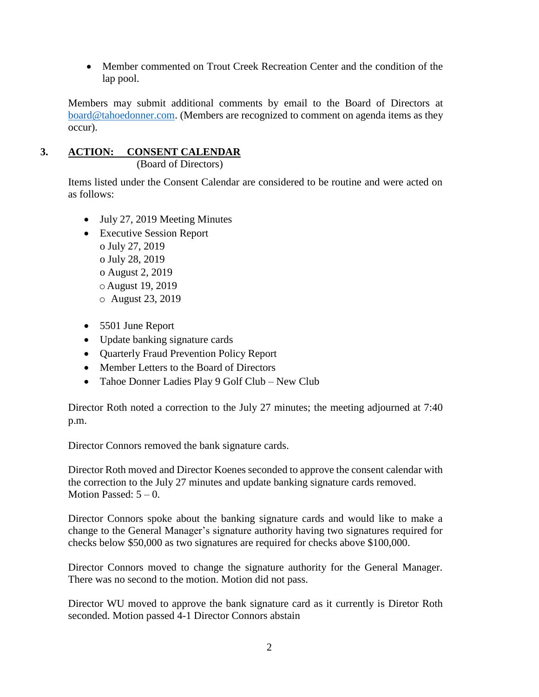• Member commented on Trout Creek Recreation Center and the condition of the lap pool.

Members may submit additional comments by email to the Board of Directors at [board@tahoedonner.com.](mailto:board@tahoedonner.com) (Members are recognized to comment on agenda items as they occur).

# **3. ACTION: CONSENT CALENDAR**

(Board of Directors)

Items listed under the Consent Calendar are considered to be routine and were acted on as follows:

- July 27, 2019 Meeting Minutes
- Executive Session Report o July 27, 2019 o July 28, 2019 o August 2, 2019 o August 19, 2019 o August 23, 2019
- 5501 June Report
- Update banking signature cards
- Quarterly Fraud Prevention Policy Report
- Member Letters to the Board of Directors
- Tahoe Donner Ladies Play 9 Golf Club New Club

Director Roth noted a correction to the July 27 minutes; the meeting adjourned at 7:40 p.m.

Director Connors removed the bank signature cards.

Director Roth moved and Director Koenes seconded to approve the consent calendar with the correction to the July 27 minutes and update banking signature cards removed. Motion Passed:  $5 - 0$ .

Director Connors spoke about the banking signature cards and would like to make a change to the General Manager's signature authority having two signatures required for checks below \$50,000 as two signatures are required for checks above \$100,000.

Director Connors moved to change the signature authority for the General Manager. There was no second to the motion. Motion did not pass.

Director WU moved to approve the bank signature card as it currently is Diretor Roth seconded. Motion passed 4-1 Director Connors abstain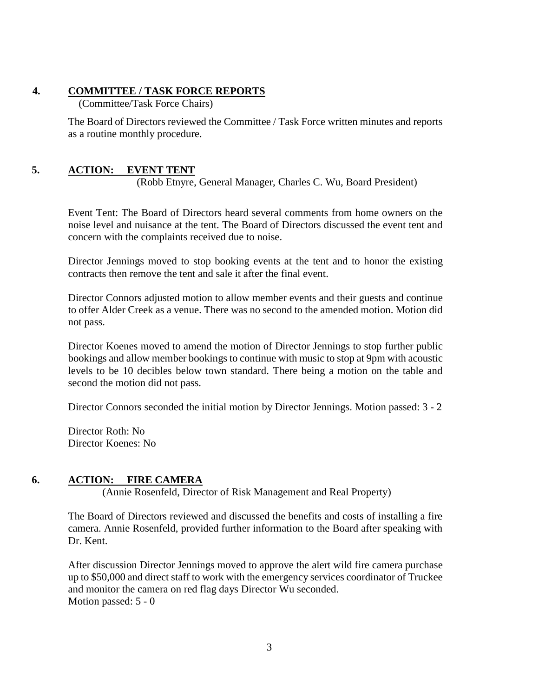#### **4. COMMITTEE / TASK FORCE REPORTS**

(Committee/Task Force Chairs)

The Board of Directors reviewed the Committee / Task Force written minutes and reports as a routine monthly procedure.

### **5. ACTION: EVENT TENT**

(Robb Etnyre, General Manager, Charles C. Wu, Board President)

Event Tent: The Board of Directors heard several comments from home owners on the noise level and nuisance at the tent. The Board of Directors discussed the event tent and concern with the complaints received due to noise.

Director Jennings moved to stop booking events at the tent and to honor the existing contracts then remove the tent and sale it after the final event.

Director Connors adjusted motion to allow member events and their guests and continue to offer Alder Creek as a venue. There was no second to the amended motion. Motion did not pass.

Director Koenes moved to amend the motion of Director Jennings to stop further public bookings and allow member bookings to continue with music to stop at 9pm with acoustic levels to be 10 decibles below town standard. There being a motion on the table and second the motion did not pass.

Director Connors seconded the initial motion by Director Jennings. Motion passed: 3 - 2

Director Roth: No Director Koenes: No

#### **6. ACTION: FIRE CAMERA**

(Annie Rosenfeld, Director of Risk Management and Real Property)

The Board of Directors reviewed and discussed the benefits and costs of installing a fire camera. Annie Rosenfeld, provided further information to the Board after speaking with Dr. Kent.

After discussion Director Jennings moved to approve the alert wild fire camera purchase up to \$50,000 and direct staff to work with the emergency services coordinator of Truckee and monitor the camera on red flag days Director Wu seconded. Motion passed: 5 - 0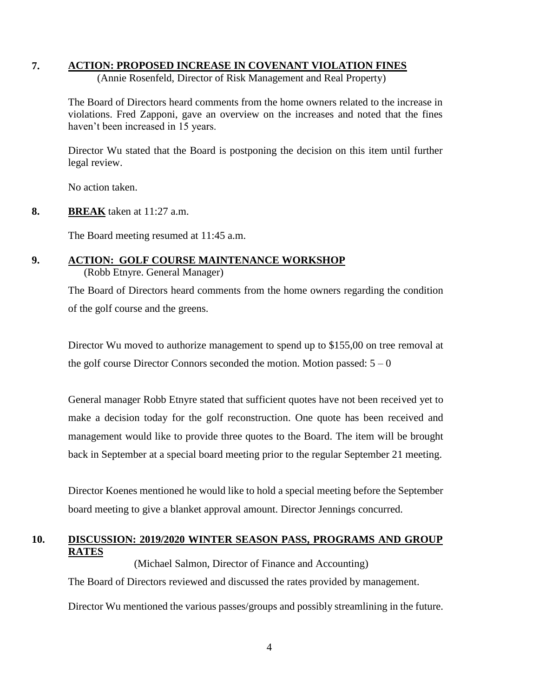#### **7. ACTION: PROPOSED INCREASE IN COVENANT VIOLATION FINES**

(Annie Rosenfeld, Director of Risk Management and Real Property)

The Board of Directors heard comments from the home owners related to the increase in violations. Fred Zapponi, gave an overview on the increases and noted that the fines haven't been increased in 15 years.

Director Wu stated that the Board is postponing the decision on this item until further legal review.

No action taken.

**8. BREAK** taken at 11:27 a.m.

The Board meeting resumed at 11:45 a.m.

## **9. ACTION: GOLF COURSE MAINTENANCE WORKSHOP**

(Robb Etnyre. General Manager)

The Board of Directors heard comments from the home owners regarding the condition of the golf course and the greens.

Director Wu moved to authorize management to spend up to \$155,00 on tree removal at the golf course Director Connors seconded the motion. Motion passed:  $5 - 0$ 

General manager Robb Etnyre stated that sufficient quotes have not been received yet to make a decision today for the golf reconstruction. One quote has been received and management would like to provide three quotes to the Board. The item will be brought back in September at a special board meeting prior to the regular September 21 meeting.

Director Koenes mentioned he would like to hold a special meeting before the September board meeting to give a blanket approval amount. Director Jennings concurred.

#### **10. DISCUSSION: 2019/2020 WINTER SEASON PASS, PROGRAMS AND GROUP RATES** (Michael Salmon, Director of Finance and Accounting)

The Board of Directors reviewed and discussed the rates provided by management. Director Wu mentioned the various passes/groups and possibly streamlining in the future.

4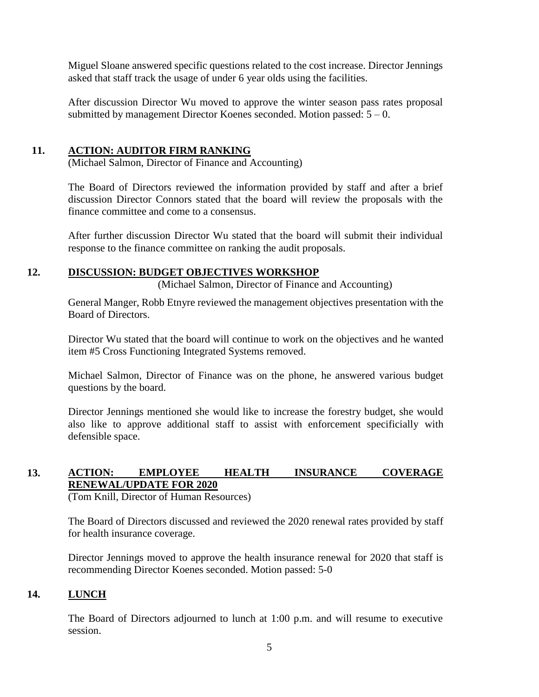Miguel Sloane answered specific questions related to the cost increase. Director Jennings asked that staff track the usage of under 6 year olds using the facilities.

After discussion Director Wu moved to approve the winter season pass rates proposal submitted by management Director Koenes seconded. Motion passed:  $5 - 0$ .

#### **11. ACTION: AUDITOR FIRM RANKING**

(Michael Salmon, Director of Finance and Accounting)

The Board of Directors reviewed the information provided by staff and after a brief discussion Director Connors stated that the board will review the proposals with the finance committee and come to a consensus.

After further discussion Director Wu stated that the board will submit their individual response to the finance committee on ranking the audit proposals.

#### **12. DISCUSSION: BUDGET OBJECTIVES WORKSHOP**

(Michael Salmon, Director of Finance and Accounting)

General Manger, Robb Etnyre reviewed the management objectives presentation with the Board of Directors.

Director Wu stated that the board will continue to work on the objectives and he wanted item #5 Cross Functioning Integrated Systems removed.

Michael Salmon, Director of Finance was on the phone, he answered various budget questions by the board.

Director Jennings mentioned she would like to increase the forestry budget, she would also like to approve additional staff to assist with enforcement specificially with defensible space.

## **13. ACTION: EMPLOYEE HEALTH INSURANCE COVERAGE RENEWAL/UPDATE FOR 2020**

(Tom Knill, Director of Human Resources)

The Board of Directors discussed and reviewed the 2020 renewal rates provided by staff for health insurance coverage.

Director Jennings moved to approve the health insurance renewal for 2020 that staff is recommending Director Koenes seconded. Motion passed: 5-0

#### **14. LUNCH**

The Board of Directors adjourned to lunch at 1:00 p.m. and will resume to executive session.